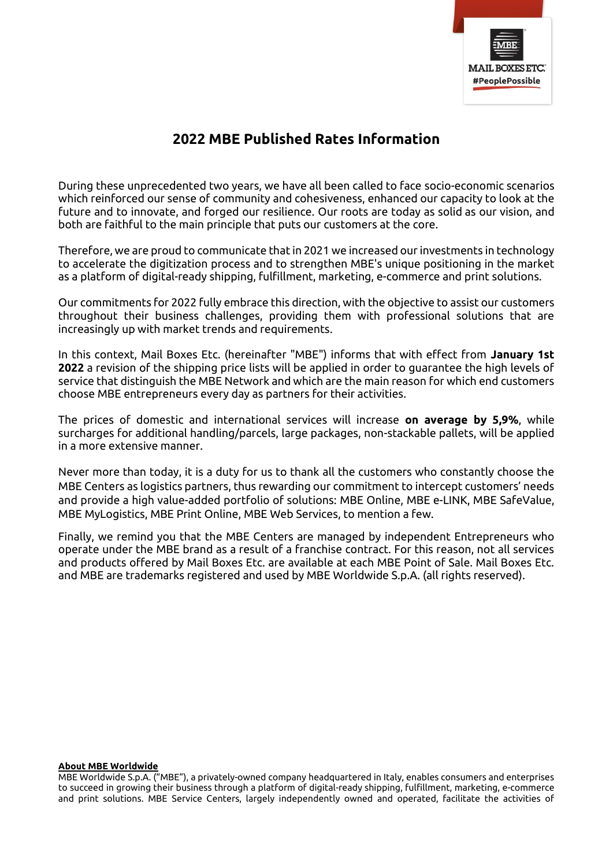

## **2022 MBE Published Rates Information**

During these unprecedented two years, we have all been called to face socio-economic scenarios which reinforced our sense of community and cohesiveness, enhanced our capacity to look at the future and to innovate, and forged our resilience. Our roots are today as solid as our vision, and both are faithful to the main principle that puts our customers at the core.

Therefore, we are proud to communicate that in 2021 we increased our investments in technology to accelerate the digitization process and to strengthen MBE's unique positioning in the market as a platform of digital-ready shipping, fulfillment, marketing, e-commerce and print solutions.

Our commitments for 2022 fully embrace this direction, with the objective to assist our customers throughout their business challenges, providing them with professional solutions that are increasingly up with market trends and requirements.

In this context, Mail Boxes Etc. (hereinafter "MBE") informs that with effect from **January 1st 2022** a revision of the shipping price lists will be applied in order to guarantee the high levels of service that distinguish the MBE Network and which are the main reason for which end customers choose MBE entrepreneurs every day as partners for their activities.

The prices of domestic and international services will increase **on average by 5,9%**, while surcharges for additional handling/parcels, large packages, non-stackable pallets, will be applied in a more extensive manner.

Never more than today, it is a duty for us to thank all the customers who constantly choose the MBE Centers as logistics partners, thus rewarding our commitment to intercept customers' needs and provide a high value-added portfolio of solutions: MBE Online, MBE e-LINK, MBE SafeValue, MBE MyLogistics, MBE Print Online, MBE Web Services, to mention a few.

Finally, we remind you that the MBE Centers are managed by independent Entrepreneurs who operate under the MBE brand as a result of a franchise contract. For this reason, not all services and products offered by Mail Boxes Etc. are available at each MBE Point of Sale. Mail Boxes Etc. and MBE are trademarks registered and used by MBE Worldwide S.p.A. (all rights reserved).

## **About MBE Worldwide**

MBE Worldwide S.p.A. ("MBE"), a privately-owned company headquartered in Italy, enables consumers and enterprises to succeed in growing their business through a platform of digital-ready shipping, fulfillment, marketing, e-commerce and print solutions. MBE Service Centers, largely independently owned and operated, facilitate the activities of